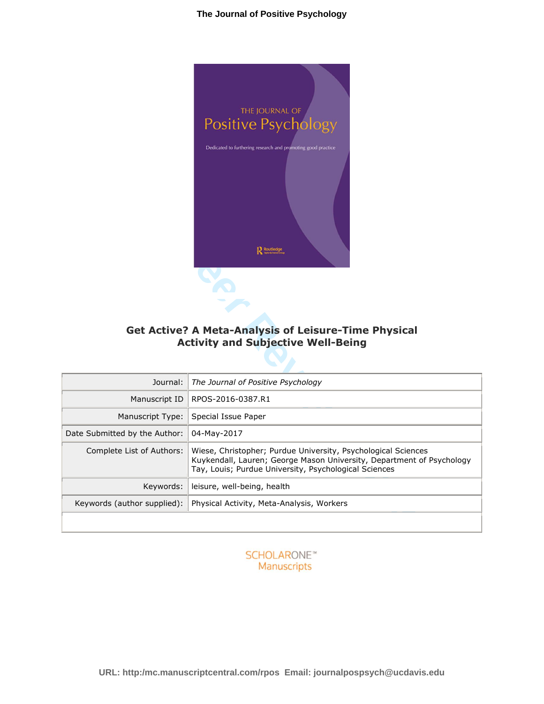

# **Get Active? A Meta-Analysis of Leisure-Time Physical Activity and Subjective Well-Being**

| <b>Get Active? A Meta-Analysis of Leisure-Time Physical</b><br><b>Activity and Subjective Well-Being</b> |                                                                                                                                                                                                 |  |  |  |  |  |
|----------------------------------------------------------------------------------------------------------|-------------------------------------------------------------------------------------------------------------------------------------------------------------------------------------------------|--|--|--|--|--|
| Journal:                                                                                                 | The Journal of Positive Psychology                                                                                                                                                              |  |  |  |  |  |
| Manuscript ID                                                                                            | RPOS-2016-0387.R1                                                                                                                                                                               |  |  |  |  |  |
| Manuscript Type:                                                                                         | Special Issue Paper                                                                                                                                                                             |  |  |  |  |  |
| Date Submitted by the Author:                                                                            | 04-May-2017                                                                                                                                                                                     |  |  |  |  |  |
| Complete List of Authors:                                                                                | Wiese, Christopher; Purdue University, Psychological Sciences<br>Kuykendall, Lauren; George Mason University, Department of Psychology<br>Tay, Louis; Purdue University, Psychological Sciences |  |  |  |  |  |
| Keywords:                                                                                                | leisure, well-being, health                                                                                                                                                                     |  |  |  |  |  |
| Keywords (author supplied):                                                                              | Physical Activity, Meta-Analysis, Workers                                                                                                                                                       |  |  |  |  |  |
|                                                                                                          |                                                                                                                                                                                                 |  |  |  |  |  |

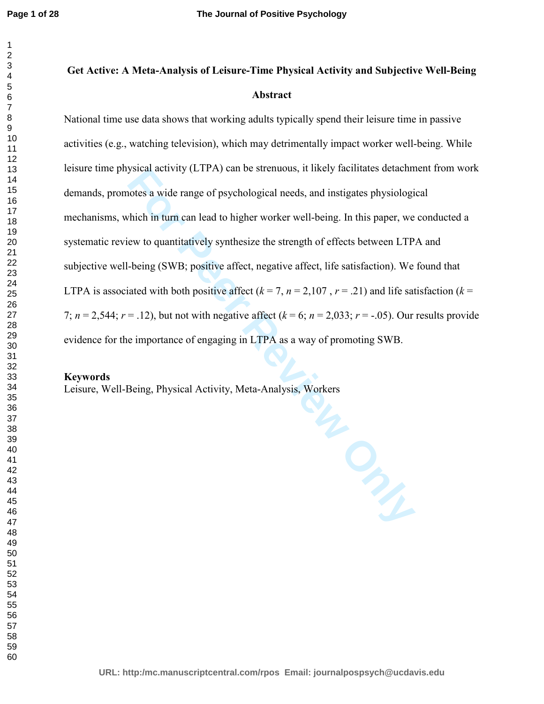# **Get Active: A Meta-Analysis of Leisure-Time Physical Activity and Subjective Well-Being Abstract**

National time use data shows that working adults typically spend their leisure time in passive activities (e.g., watching television), which may detrimentally impact worker well-being. While leisure time physical activity (LTPA) can be strenuous, it likely facilitates detachment from work demands, promotes a wide range of psychological needs, and instigates physiological mechanisms, which in turn can lead to higher worker well-being. In this paper, we conducted a systematic review to quantitatively synthesize the strength of effects between LTPA and subjective well-being (SWB; positive affect, negative affect, life satisfaction). We found that LTPA is associated with both positive affect  $(k = 7, n = 2,107, r = .21)$  and life satisfaction  $(k = 1, k = 107, k = 107)$ 7;  $n = 2,544$ ;  $r = .12$ ), but not with negative affect ( $k = 6$ ;  $n = 2,033$ ;  $r = -.05$ ). Our results provide evidence for the importance of engaging in LTPA as a way of promoting SWB.

### **Keywords**

Leisure, Well-Being, Physical Activity, Meta-Analysis, Workers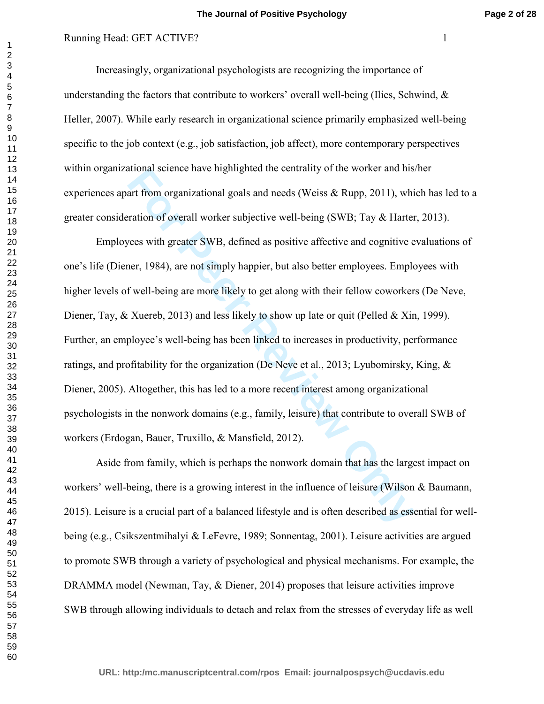# Running Head: GET ACTIVE? 1

Increasingly, organizational psychologists are recognizing the importance of understanding the factors that contribute to workers' overall well-being (Ilies, Schwind,  $\&$ Heller, 2007). While early research in organizational science primarily emphasized well-being specific to the job context (e.g., job satisfaction, job affect), more contemporary perspectives within organizational science have highlighted the centrality of the worker and his/her experiences apart from organizational goals and needs (Weiss & Rupp, 2011), which has led to a greater consideration of overall worker subjective well-being (SWB; Tay & Harter, 2013).

ational science have nightlighted the centrality of the worker and nistant from organizational goals and needs (Weiss & Rupp, 2011), whis attion of overall worker subjective well-being (SWB; Tay & Harter eves with greater Employees with greater SWB, defined as positive affective and cognitive evaluations of one's life (Diener, 1984), are not simply happier, but also better employees. Employees with higher levels of well-being are more likely to get along with their fellow coworkers (De Neve, Diener, Tay, & Xuereb, 2013) and less likely to show up late or quit (Pelled & Xin, 1999). Further, an employee's well-being has been linked to increases in productivity, performance ratings, and profitability for the organization (De Neve et al., 2013; Lyubomirsky, King, & Diener, 2005). Altogether, this has led to a more recent interest among organizational psychologists in the nonwork domains (e.g., family, leisure) that contribute to overall SWB of workers (Erdogan, Bauer, Truxillo, & Mansfield, 2012).

Aside from family, which is perhaps the nonwork domain that has the largest impact on workers' well-being, there is a growing interest in the influence of leisure (Wilson & Baumann, 2015). Leisure is a crucial part of a balanced lifestyle and is often described as essential for wellbeing (e.g., Csikszentmihalyi & LeFevre, 1989; Sonnentag, 2001). Leisure activities are argued to promote SWB through a variety of psychological and physical mechanisms. For example, the DRAMMA model (Newman, Tay, & Diener, 2014) proposes that leisure activities improve SWB through allowing individuals to detach and relax from the stresses of everyday life as well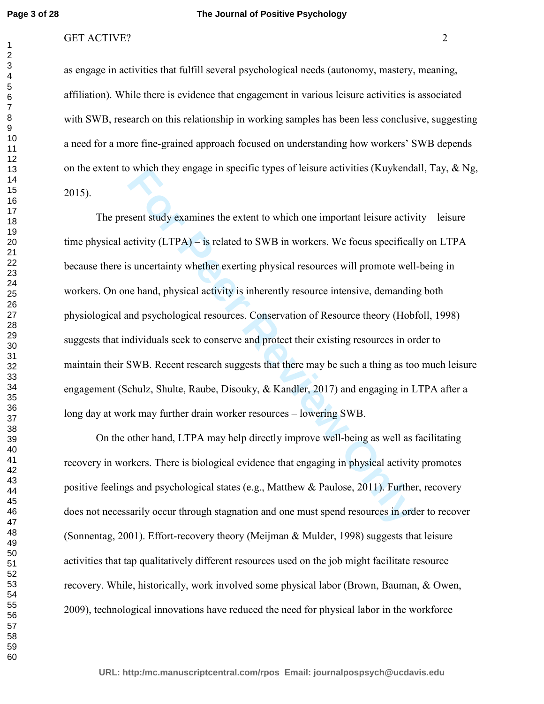#### **The Journal of Positive Psychology**

### GET ACTIVE? 2

as engage in activities that fulfill several psychological needs (autonomy, mastery, meaning, affiliation). While there is evidence that engagement in various leisure activities is associated with SWB, research on this relationship in working samples has been less conclusive, suggesting a need for a more fine-grained approach focused on understanding how workers' SWB depends on the extent to which they engage in specific types of leisure activities (Kuykendall, Tay,  $\&$  Ng, 2015).

which they engage in specific types or leisure activities (Kuykenda<br> **For Peer Review COMPTA CONDED** is reactively discussed to SWB in workers. We focus specifical<br> **Example 2** interesting physical resources will promote w The present study examines the extent to which one important leisure activity – leisure time physical activity (LTPA) – is related to SWB in workers. We focus specifically on LTPA because there is uncertainty whether exerting physical resources will promote well-being in workers. On one hand, physical activity is inherently resource intensive, demanding both physiological and psychological resources. Conservation of Resource theory (Hobfoll, 1998) suggests that individuals seek to conserve and protect their existing resources in order to maintain their SWB. Recent research suggests that there may be such a thing as too much leisure engagement (Schulz, Shulte, Raube, Disouky, & Kandler, 2017) and engaging in LTPA after a long day at work may further drain worker resources – lowering SWB.

On the other hand, LTPA may help directly improve well-being as well as facilitating recovery in workers. There is biological evidence that engaging in physical activity promotes positive feelings and psychological states (e.g., Matthew & Paulose, 2011). Further, recovery does not necessarily occur through stagnation and one must spend resources in order to recover (Sonnentag, 2001). Effort-recovery theory (Meijman & Mulder, 1998) suggests that leisure activities that tap qualitatively different resources used on the job might facilitate resource recovery. While, historically, work involved some physical labor (Brown, Bauman, & Owen, 2009), technological innovations have reduced the need for physical labor in the workforce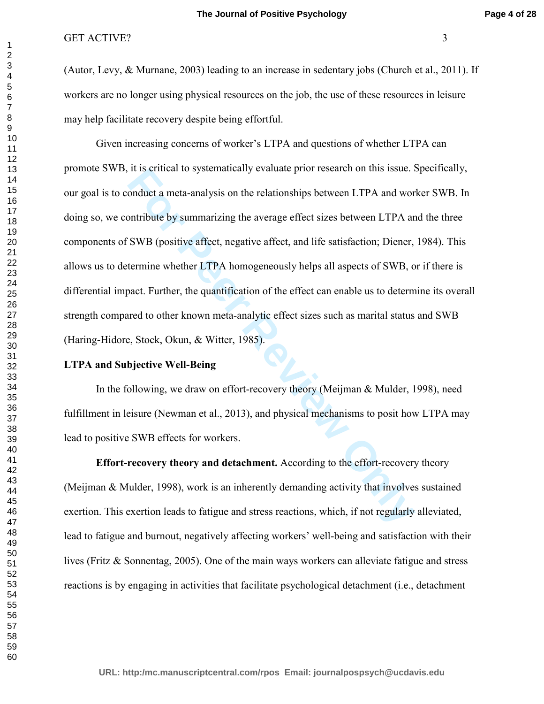(Autor, Levy, & Murnane, 2003) leading to an increase in sedentary jobs (Church et al., 2011). If workers are no longer using physical resources on the job, the use of these resources in leisure may help facilitate recovery despite being effortful.

It is critical to systematically evaluate prior research on this issue. For any conduct a meta-analysis on the relationships between LTPA and word but by summarizing the average effect sizes between LTPA are SWB (positive Given increasing concerns of worker's LTPA and questions of whether LTPA can promote SWB, it is critical to systematically evaluate prior research on this issue. Specifically, our goal is to conduct a meta-analysis on the relationships between LTPA and worker SWB. In doing so, we contribute by summarizing the average effect sizes between LTPA and the three components of SWB (positive affect, negative affect, and life satisfaction; Diener, 1984). This allows us to determine whether LTPA homogeneously helps all aspects of SWB, or if there is differential impact. Further, the quantification of the effect can enable us to determine its overall strength compared to other known meta-analytic effect sizes such as marital status and SWB (Haring-Hidore, Stock, Okun, & Witter, 1985).

## **LTPA and Subjective Well-Being**

In the following, we draw on effort-recovery theory (Meijman & Mulder, 1998), need fulfillment in leisure (Newman et al., 2013), and physical mechanisms to posit how LTPA may lead to positive SWB effects for workers.

**Effort-recovery theory and detachment.** According to the effort-recovery theory (Meijman & Mulder, 1998), work is an inherently demanding activity that involves sustained exertion. This exertion leads to fatigue and stress reactions, which, if not regularly alleviated, lead to fatigue and burnout, negatively affecting workers' well-being and satisfaction with their lives (Fritz & Sonnentag, 2005). One of the main ways workers can alleviate fatigue and stress reactions is by engaging in activities that facilitate psychological detachment (i.e., detachment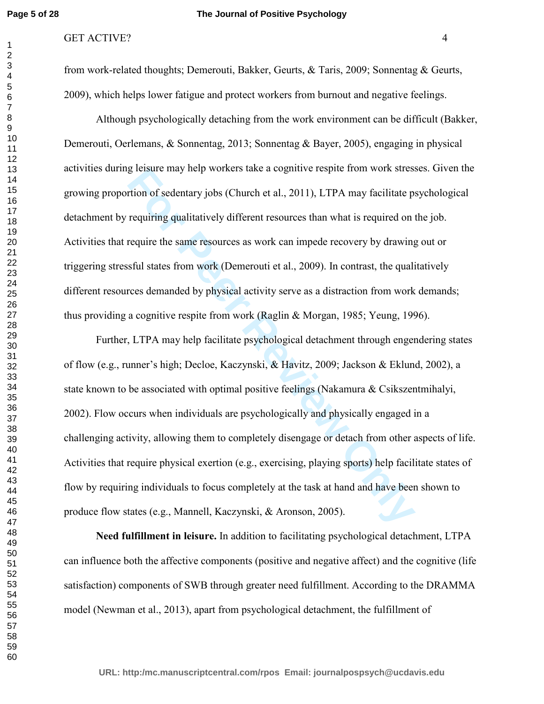#### **The Journal of Positive Psychology**

#### GET ACTIVE? 4

from work-related thoughts; Demerouti, Bakker, Geurts, & Taris, 2009; Sonnentag & Geurts, 2009), which helps lower fatigue and protect workers from burnout and negative feelings.

Although psychologically detaching from the work environment can be difficult (Bakker, Demerouti, Oerlemans, & Sonnentag, 2013; Sonnentag & Bayer, 2005), engaging in physical activities during leisure may help workers take a cognitive respite from work stresses. Given the growing proportion of sedentary jobs (Church et al., 2011), LTPA may facilitate psychological detachment by requiring qualitatively different resources than what is required on the job. Activities that require the same resources as work can impede recovery by drawing out or triggering stressful states from work (Demerouti et al., 2009). In contrast, the qualitatively different resources demanded by physical activity serve as a distraction from work demands; thus providing a cognitive respite from work (Raglin & Morgan, 1985; Yeung, 1996).

g leisure may neip workers take a cognitive respite from work stress<br> **Fraction** of sedentary jobs (Church et al., 2011), LTPA may facilitate p.<br> **Fraction** requiring qualitatively different resources than what is required Further, LTPA may help facilitate psychological detachment through engendering states of flow (e.g., runner's high; Decloe, Kaczynski, & Havitz, 2009; Jackson & Eklund, 2002), a state known to be associated with optimal positive feelings (Nakamura  $\&$  Csikszentmihalyi, 2002). Flow occurs when individuals are psychologically and physically engaged in a challenging activity, allowing them to completely disengage or detach from other aspects of life. Activities that require physical exertion (e.g., exercising, playing sports) help facilitate states of flow by requiring individuals to focus completely at the task at hand and have been shown to produce flow states (e.g., Mannell, Kaczynski, & Aronson, 2005).

**Need fulfillment in leisure.** In addition to facilitating psychological detachment, LTPA can influence both the affective components (positive and negative affect) and the cognitive (life satisfaction) components of SWB through greater need fulfillment. According to the DRAMMA model (Newman et al., 2013), apart from psychological detachment, the fulfillment of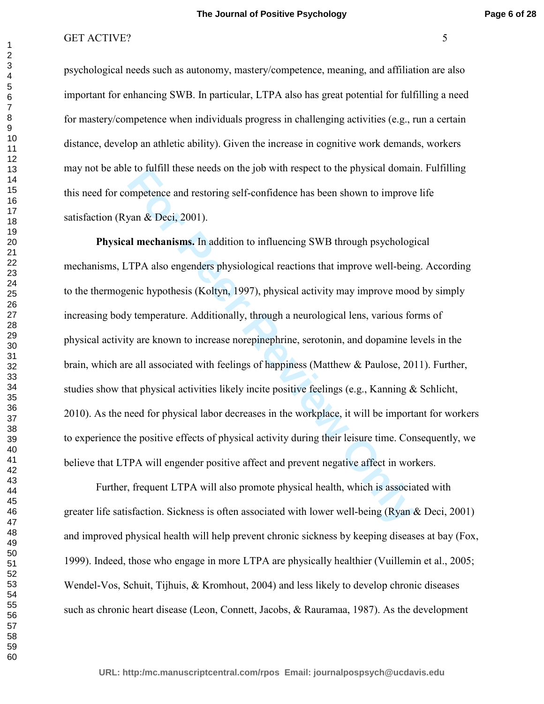psychological needs such as autonomy, mastery/competence, meaning, and affiliation are also important for enhancing SWB. In particular, LTPA also has great potential for fulfilling a need for mastery/competence when individuals progress in challenging activities (e.g., run a certain distance, develop an athletic ability). Given the increase in cognitive work demands, workers may not be able to fulfill these needs on the job with respect to the physical domain. Fulfilling this need for competence and restoring self-confidence has been shown to improve life satisfaction (Ryan & Deci, 2001).

For Proposition Sickness is often associated with lower well-being (Ryan discussion Sickness is often associated with lower well-being point of the physical confidence has been shown to improve yan & Deci, 2001).<br> **All mec Physical mechanisms.** In addition to influencing SWB through psychological mechanisms, LTPA also engenders physiological reactions that improve well-being. According to the thermogenic hypothesis (Koltyn, 1997), physical activity may improve mood by simply increasing body temperature. Additionally, through a neurological lens, various forms of physical activity are known to increase norepinephrine, serotonin, and dopamine levels in the brain, which are all associated with feelings of happiness (Matthew & Paulose, 2011). Further, studies show that physical activities likely incite positive feelings (e.g., Kanning & Schlicht, 2010). As the need for physical labor decreases in the workplace, it will be important for workers to experience the positive effects of physical activity during their leisure time. Consequently, we believe that LTPA will engender positive affect and prevent negative affect in workers.

Further, frequent LTPA will also promote physical health, which is associated with greater life satisfaction. Sickness is often associated with lower well-being (Ryan & Deci, 2001) and improved physical health will help prevent chronic sickness by keeping diseases at bay (Fox, 1999). Indeed, those who engage in more LTPA are physically healthier (Vuillemin et al., 2005; Wendel-Vos, Schuit, Tijhuis, & Kromhout, 2004) and less likely to develop chronic diseases such as chronic heart disease (Leon, Connett, Jacobs, & Rauramaa, 1987). As the development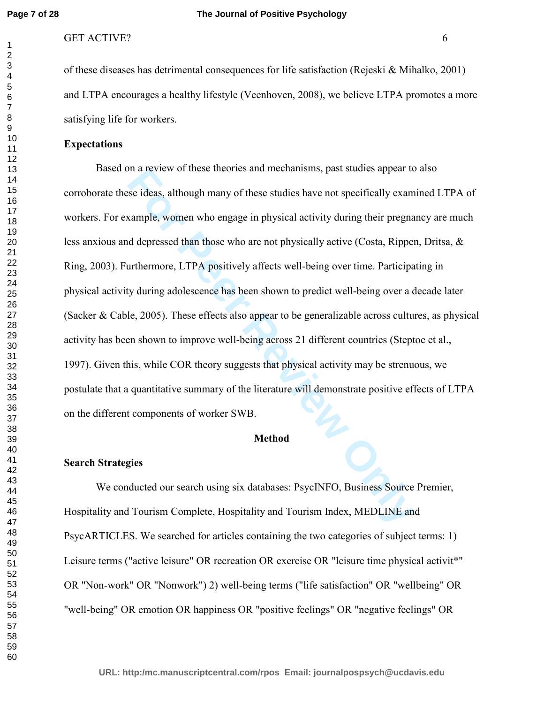of these diseases has detrimental consequences for life satisfaction (Rejeski & Mihalko, 2001) and LTPA encourages a healthy lifestyle (Veenhoven, 2008), we believe LTPA promotes a more satisfying life for workers.

## **Expectations**

In a review of these theories and mechanisms, past studies appear to<br>se ideas, although many of these studies have not specifically exam<br>ample, women who engage in physical activity during their pregna<br>d depressed than tho Based on a review of these theories and mechanisms, past studies appear to also corroborate these ideas, although many of these studies have not specifically examined LTPA of workers. For example, women who engage in physical activity during their pregnancy are much less anxious and depressed than those who are not physically active (Costa, Rippen, Dritsa, & Ring, 2003). Furthermore, LTPA positively affects well-being over time. Participating in physical activity during adolescence has been shown to predict well-being over a decade later (Sacker & Cable, 2005). These effects also appear to be generalizable across cultures, as physical activity has been shown to improve well-being across 21 different countries (Steptoe et al., 1997). Given this, while COR theory suggests that physical activity may be strenuous, we postulate that a quantitative summary of the literature will demonstrate positive effects of LTPA on the different components of worker SWB.

#### **Method**

#### **Search Strategies**

We conducted our search using six databases: PsycINFO, Business Source Premier, Hospitality and Tourism Complete, Hospitality and Tourism Index, MEDLINE and PsycARTICLES. We searched for articles containing the two categories of subject terms: 1) Leisure terms ("active leisure" OR recreation OR exercise OR "leisure time physical activit\*" OR "Non-work" OR "Nonwork") 2) well-being terms ("life satisfaction" OR "wellbeing" OR "well-being" OR emotion OR happiness OR "positive feelings" OR "negative feelings" OR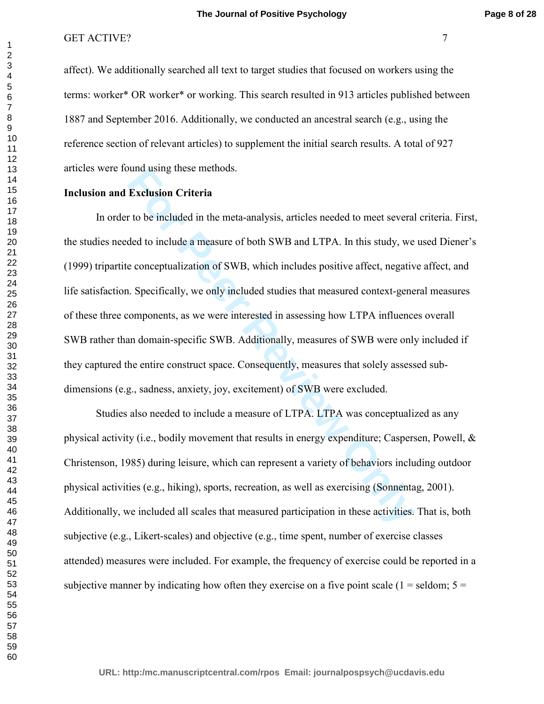affect). We additionally searched all text to target studies that focused on workers using the terms: worker\* OR worker\* or working. This search resulted in 913 articles published between 1887 and September 2016. Additionally, we conducted an ancestral search (e.g., using the reference section of relevant articles) to supplement the initial search results. A total of 927 articles were found using these methods.

## **Inclusion and Exclusion Criteria**

Infident United intertains and the meta-analysis, articles needed to meet several<br>
review to be included in the meta-analysis, articles needed to meet several<br>
ded to include a measure of both SWB and LTPA. In this study, In order to be included in the meta-analysis, articles needed to meet several criteria. First, the studies needed to include a measure of both SWB and LTPA. In this study, we used Diener's (1999) tripartite conceptualization of SWB, which includes positive affect, negative affect, and life satisfaction. Specifically, we only included studies that measured context-general measures of these three components, as we were interested in assessing how LTPA influences overall SWB rather than domain-specific SWB. Additionally, measures of SWB were only included if they captured the entire construct space. Consequently, measures that solely assessed subdimensions (e.g., sadness, anxiety, joy, excitement) of SWB were excluded.

Studies also needed to include a measure of LTPA. LTPA was conceptualized as any physical activity (i.e., bodily movement that results in energy expenditure; Caspersen, Powell, & Christenson, 1985) during leisure, which can represent a variety of behaviors including outdoor physical activities (e.g., hiking), sports, recreation, as well as exercising (Sonnentag, 2001). Additionally, we included all scales that measured participation in these activities. That is, both subjective (e.g., Likert-scales) and objective (e.g., time spent, number of exercise classes attended) measures were included. For example, the frequency of exercise could be reported in a subjective manner by indicating how often they exercise on a five point scale ( $1 =$  seldom;  $5 =$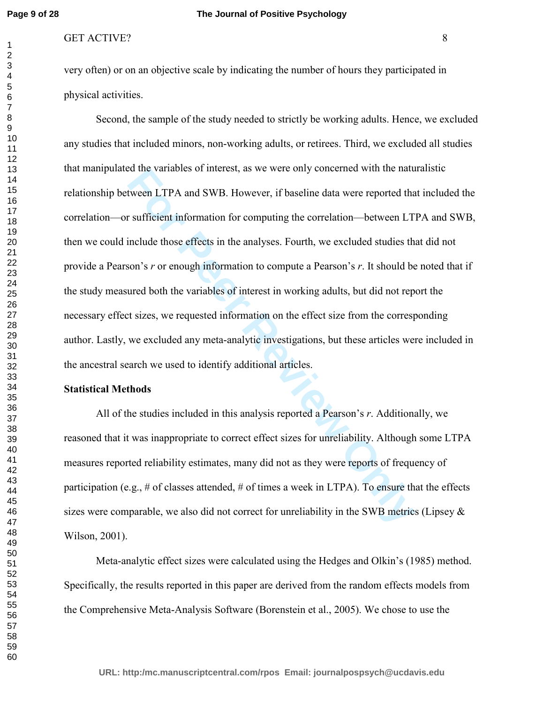very often) or on an objective scale by indicating the number of hours they participated in physical activities.

For Periodicial Interest, as we were only concerned with the haut<br>tween LTPA and SWB. However, if baseline data were reported that<br>sufficient information for computing the correlation—between LT<br>include those effects in th Second, the sample of the study needed to strictly be working adults. Hence, we excluded any studies that included minors, non-working adults, or retirees. Third, we excluded all studies that manipulated the variables of interest, as we were only concerned with the naturalistic relationship between LTPA and SWB. However, if baseline data were reported that included the correlation—or sufficient information for computing the correlation—between LTPA and SWB, then we could include those effects in the analyses. Fourth, we excluded studies that did not provide a Pearson's *r* or enough information to compute a Pearson's *r*. It should be noted that if the study measured both the variables of interest in working adults, but did not report the necessary effect sizes, we requested information on the effect size from the corresponding author. Lastly, we excluded any meta-analytic investigations, but these articles were included in the ancestral search we used to identify additional articles.

#### **Statistical Methods**

All of the studies included in this analysis reported a Pearson's *r*. Additionally, we reasoned that it was inappropriate to correct effect sizes for unreliability. Although some LTPA measures reported reliability estimates, many did not as they were reports of frequency of participation (e.g., # of classes attended, # of times a week in LTPA). To ensure that the effects sizes were comparable, we also did not correct for unreliability in the SWB metrics (Lipsey  $\&$ Wilson, 2001).

Meta-analytic effect sizes were calculated using the Hedges and Olkin's (1985) method. Specifically, the results reported in this paper are derived from the random effects models from the Comprehensive Meta-Analysis Software (Borenstein et al., 2005). We chose to use the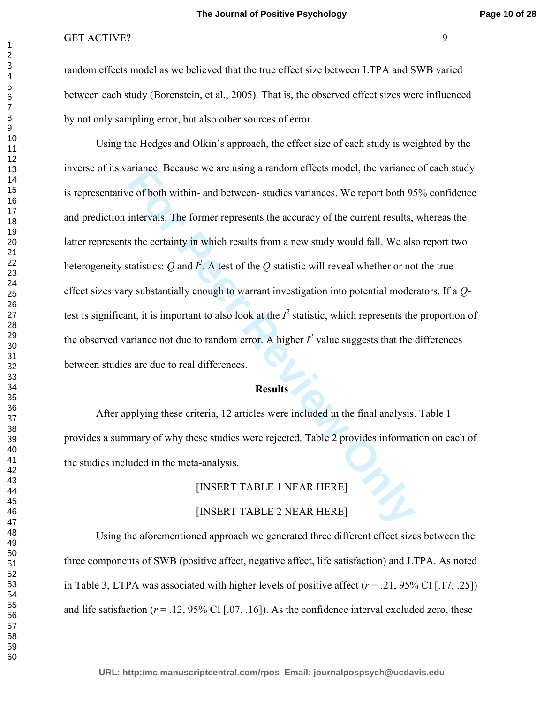random effects model as we believed that the true effect size between LTPA and SWB varied between each study (Borenstein, et al., 2005). That is, the observed effect sizes were influenced by not only sampling error, but also other sources of error.

ariance. Because we are using a random errects model, the variance e of both within- and between- studies variances. We report both 95 intervals. The former represents the accuracy of the current results, s the certainty i Using the Hedges and Olkin's approach, the effect size of each study is weighted by the inverse of its variance. Because we are using a random effects model, the variance of each study is representative of both within- and between- studies variances. We report both 95% confidence and prediction intervals. The former represents the accuracy of the current results, whereas the latter represents the certainty in which results from a new study would fall. We also report two heterogeneity statistics:  $Q$  and  $I^2$ . A test of the  $Q$  statistic will reveal whether or not the true effect sizes vary substantially enough to warrant investigation into potential moderators. If a *Q*test is significant, it is important to also look at the  $I^2$  statistic, which represents the proportion of the observed variance not due to random error. A higher  $I^2$  value suggests that the differences between studies are due to real differences.

#### **Results**

After applying these criteria, 12 articles were included in the final analysis. Table 1 provides a summary of why these studies were rejected. Table 2 provides information on each of the studies included in the meta-analysis.

# [INSERT TABLE 1 NEAR HERE]

## [INSERT TABLE 2 NEAR HERE]

Using the aforementioned approach we generated three different effect sizes between the three components of SWB (positive affect, negative affect, life satisfaction) and LTPA. As noted in Table 3, LTPA was associated with higher levels of positive affect  $(r = .21, 95\% \text{ CI}$  [.17, .25]) and life satisfaction  $(r = .12, 95\% \text{ CI}$  [.07, .16]). As the confidence interval excluded zero, these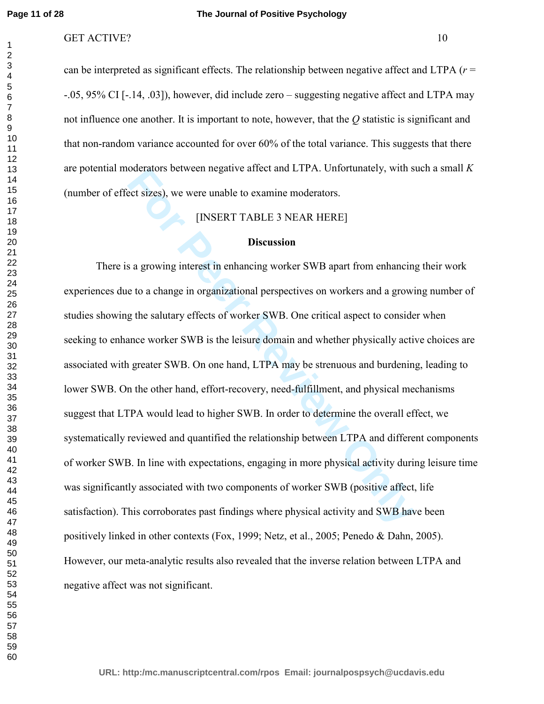#### **The Journal of Positive Psychology**

## GET ACTIVE? 10

can be interpreted as significant effects. The relationship between negative affect and LTPA (*r* = -.05, 95% CI [-.14, .03]), however, did include zero – suggesting negative affect and LTPA may not influence one another. It is important to note, however, that the *Q* statistic is significant and that non-random variance accounted for over 60% of the total variance. This suggests that there are potential moderators between negative affect and LTPA. Unfortunately, with such a small *K* (number of effect sizes), we were unable to examine moderators.

# [INSERT TABLE 3 NEAR HERE]

## **Discussion**

For Source and ETPA. Uniordinately, with sect sizes), we were unable to examine moderators.<br> **FORMOT TABLE 3 NEAR HERE**<br> **FORMOT TABLE 3 NEAR HERE**<br> **FORMOT TABLE 3 NEAR HERE**<br> **FORMOT TABLE 3 NEAR HERE**<br> **FORMOT SOMET TAB**  There is a growing interest in enhancing worker SWB apart from enhancing their work experiences due to a change in organizational perspectives on workers and a growing number of studies showing the salutary effects of worker SWB. One critical aspect to consider when seeking to enhance worker SWB is the leisure domain and whether physically active choices are associated with greater SWB. On one hand, LTPA may be strenuous and burdening, leading to lower SWB. On the other hand, effort-recovery, need-fulfillment, and physical mechanisms suggest that LTPA would lead to higher SWB. In order to determine the overall effect, we systematically reviewed and quantified the relationship between LTPA and different components of worker SWB. In line with expectations, engaging in more physical activity during leisure time was significantly associated with two components of worker SWB (positive affect, life satisfaction). This corroborates past findings where physical activity and SWB have been positively linked in other contexts (Fox, 1999; Netz, et al., 2005; Penedo & Dahn, 2005). However, our meta-analytic results also revealed that the inverse relation between LTPA and negative affect was not significant.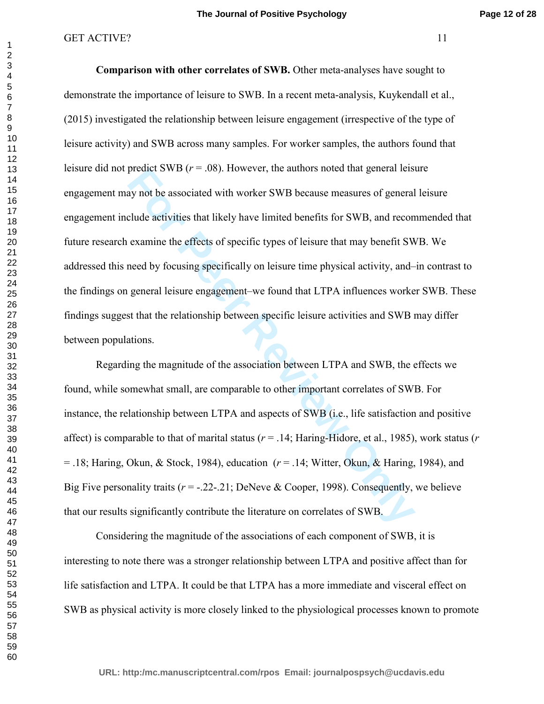preatet Sw B ( $r = .08$ ). However, the authors hoted that general less<br>ay not be associated with worker SWB because measures of general<br>clude activities that likely have limited benefits for SWB, and recon<br>examine the effec  **Comparison with other correlates of SWB.** Other meta-analyses have sought to demonstrate the importance of leisure to SWB. In a recent meta-analysis, Kuykendall et al., (2015) investigated the relationship between leisure engagement (irrespective of the type of leisure activity) and SWB across many samples. For worker samples, the authors found that leisure did not predict SWB  $(r = .08)$ . However, the authors noted that general leisure engagement may not be associated with worker SWB because measures of general leisure engagement include activities that likely have limited benefits for SWB, and recommended that future research examine the effects of specific types of leisure that may benefit SWB. We addressed this need by focusing specifically on leisure time physical activity, and–in contrast to the findings on general leisure engagement–we found that LTPA influences worker SWB. These findings suggest that the relationship between specific leisure activities and SWB may differ between populations.

 Regarding the magnitude of the association between LTPA and SWB, the effects we found, while somewhat small, are comparable to other important correlates of SWB. For instance, the relationship between LTPA and aspects of SWB (i.e., life satisfaction and positive affect) is comparable to that of marital status ( $r = 0.14$ ; Haring-Hidore, et al., 1985), work status ( $r = 0.14$ = .18; Haring, Okun, & Stock, 1984), education (*r* = .14; Witter, Okun, & Haring, 1984), and Big Five personality traits  $(r = -0.22 - 0.21)$ ; DeNeve & Cooper, 1998). Consequently, we believe that our results significantly contribute the literature on correlates of SWB.

Considering the magnitude of the associations of each component of SWB, it is interesting to note there was a stronger relationship between LTPA and positive affect than for life satisfaction and LTPA. It could be that LTPA has a more immediate and visceral effect on SWB as physical activity is more closely linked to the physiological processes known to promote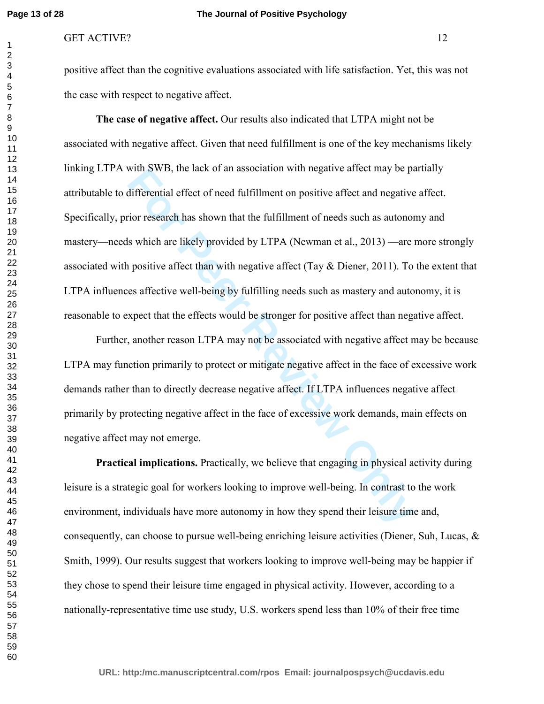#### **The Journal of Positive Psychology**

#### GET ACTIVE? 12

positive affect than the cognitive evaluations associated with life satisfaction. Yet, this was not the case with respect to negative affect.

with SWB, the lack of an association with negative affect may be paralifferential effect of need fulfillment on positive affect and negative<br>for research has shown that the fulfillment of needs such as autonor<br>s which are **The case of negative affect.** Our results also indicated that LTPA might not be associated with negative affect. Given that need fulfillment is one of the key mechanisms likely linking LTPA with SWB, the lack of an association with negative affect may be partially attributable to differential effect of need fulfillment on positive affect and negative affect. Specifically, prior research has shown that the fulfillment of needs such as autonomy and mastery—needs which are likely provided by LTPA (Newman et al., 2013) —are more strongly associated with positive affect than with negative affect (Tay  $\&$  Diener, 2011). To the extent that LTPA influences affective well-being by fulfilling needs such as mastery and autonomy, it is reasonable to expect that the effects would be stronger for positive affect than negative affect.

 Further, another reason LTPA may not be associated with negative affect may be because LTPA may function primarily to protect or mitigate negative affect in the face of excessive work demands rather than to directly decrease negative affect. If LTPA influences negative affect primarily by protecting negative affect in the face of excessive work demands, main effects on negative affect may not emerge.

 **Practical implications.** Practically, we believe that engaging in physical activity during leisure is a strategic goal for workers looking to improve well-being. In contrast to the work environment, individuals have more autonomy in how they spend their leisure time and, consequently, can choose to pursue well-being enriching leisure activities (Diener, Suh, Lucas,  $\&$ Smith, 1999). Our results suggest that workers looking to improve well-being may be happier if they chose to spend their leisure time engaged in physical activity. However, according to a nationally-representative time use study, U.S. workers spend less than 10% of their free time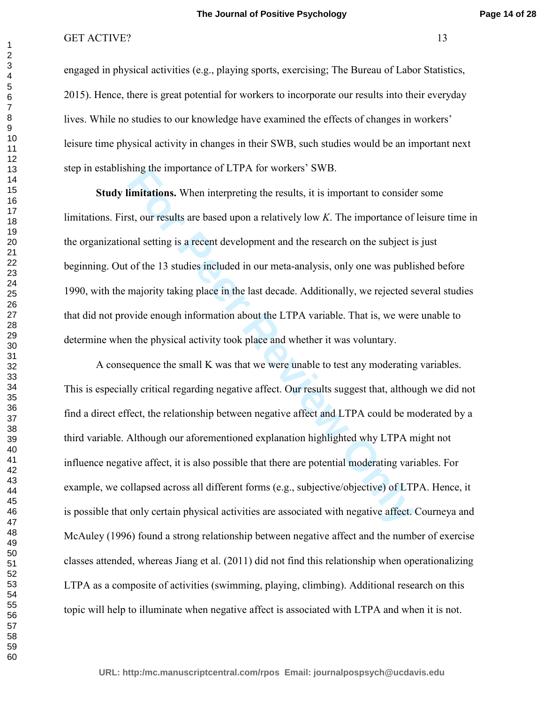engaged in physical activities (e.g., playing sports, exercising; The Bureau of Labor Statistics, 2015). Hence, there is great potential for workers to incorporate our results into their everyday lives. While no studies to our knowledge have examined the effects of changes in workers' leisure time physical activity in changes in their SWB, such studies would be an important next step in establishing the importance of LTPA for workers' SWB.

 **Study limitations.** When interpreting the results, it is important to consider some limitations. First, our results are based upon a relatively low *K*. The importance of leisure time in the organizational setting is a recent development and the research on the subject is just beginning. Out of the 13 studies included in our meta-analysis, only one was published before 1990, with the majority taking place in the last decade. Additionally, we rejected several studies that did not provide enough information about the LTPA variable. That is, we were unable to determine when the physical activity took place and whether it was voluntary.

final times in the interpreting the results, it is important to considered the interpreting the results, it is important to considered the set, our results are based upon a relatively low *K*. The importance of nal setting A consequence the small K was that we were unable to test any moderating variables. This is especially critical regarding negative affect. Our results suggest that, although we did not find a direct effect, the relationship between negative affect and LTPA could be moderated by a third variable. Although our aforementioned explanation highlighted why LTPA might not influence negative affect, it is also possible that there are potential moderating variables. For example, we collapsed across all different forms (e.g., subjective/objective) of LTPA. Hence, it is possible that only certain physical activities are associated with negative affect. Courneya and McAuley (1996) found a strong relationship between negative affect and the number of exercise classes attended, whereas Jiang et al. (2011) did not find this relationship when operationalizing LTPA as a composite of activities (swimming, playing, climbing). Additional research on this topic will help to illuminate when negative affect is associated with LTPA and when it is not.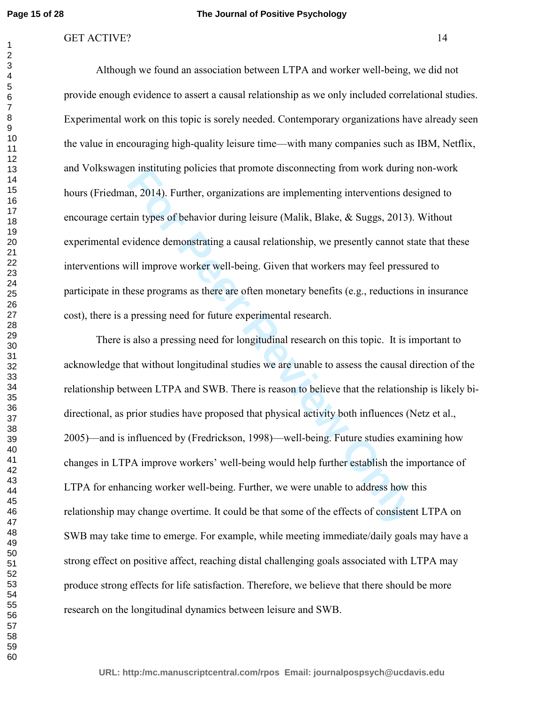#### GET ACTIVE? 14

 Although we found an association between LTPA and worker well-being, we did not provide enough evidence to assert a causal relationship as we only included correlational studies. Experimental work on this topic is sorely needed. Contemporary organizations have already seen the value in encouraging high-quality leisure time—with many companies such as IBM, Netflix, and Volkswagen instituting policies that promote disconnecting from work during non-work hours (Friedman, 2014). Further, organizations are implementing interventions designed to encourage certain types of behavior during leisure (Malik, Blake, & Suggs, 2013). Without experimental evidence demonstrating a causal relationship, we presently cannot state that these interventions will improve worker well-being. Given that workers may feel pressured to participate in these programs as there are often monetary benefits (e.g., reductions in insurance cost), there is a pressing need for future experimental research.

For Productions and promote enconnecting from work during<br>
In, 2014). Further, organizations are implementing interventions des<br>
ain types of behavior during leisure (Malik, Blake, & Suggs, 2013).<br>
Vidence demonstrating a There is also a pressing need for longitudinal research on this topic. It is important to acknowledge that without longitudinal studies we are unable to assess the causal direction of the relationship between LTPA and SWB. There is reason to believe that the relationship is likely bidirectional, as prior studies have proposed that physical activity both influences (Netz et al., 2005)—and is influenced by (Fredrickson, 1998)—well-being. Future studies examining how changes in LTPA improve workers' well-being would help further establish the importance of LTPA for enhancing worker well-being. Further, we were unable to address how this relationship may change overtime. It could be that some of the effects of consistent LTPA on SWB may take time to emerge. For example, while meeting immediate/daily goals may have a strong effect on positive affect, reaching distal challenging goals associated with LTPA may produce strong effects for life satisfaction. Therefore, we believe that there should be more research on the longitudinal dynamics between leisure and SWB.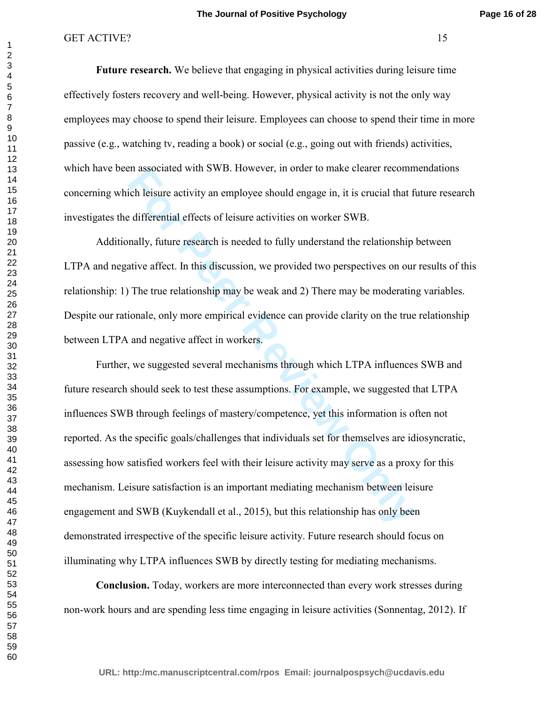**Future research.** We believe that engaging in physical activities during leisure time effectively fosters recovery and well-being. However, physical activity is not the only way employees may choose to spend their leisure. Employees can choose to spend their time in more passive (e.g., watching tv, reading a book) or social (e.g., going out with friends) activities, which have been associated with SWB. However, in order to make clearer recommendations concerning which leisure activity an employee should engage in, it is crucial that future research investigates the differential effects of leisure activities on worker SWB.

 Additionally, future research is needed to fully understand the relationship between LTPA and negative affect. In this discussion, we provided two perspectives on our results of this relationship: 1) The true relationship may be weak and 2) There may be moderating variables. Despite our rationale, only more empirical evidence can provide clarity on the true relationship between LTPA and negative affect in workers.

For a sisted with SWB. However, in order to make clearer recommic<br>cicl leisure activity an employee should engage in, it is crucial that f<br>e differential effects of leisure activities on worker SWB.<br>mally, future research Further, we suggested several mechanisms through which LTPA influences SWB and future research should seek to test these assumptions. For example, we suggested that LTPA influences SWB through feelings of mastery/competence, yet this information is often not reported. As the specific goals/challenges that individuals set for themselves are idiosyncratic, assessing how satisfied workers feel with their leisure activity may serve as a proxy for this mechanism. Leisure satisfaction is an important mediating mechanism between leisure engagement and SWB (Kuykendall et al., 2015), but this relationship has only been demonstrated irrespective of the specific leisure activity. Future research should focus on illuminating why LTPA influences SWB by directly testing for mediating mechanisms.

 **Conclusion.** Today, workers are more interconnected than every work stresses during non-work hours and are spending less time engaging in leisure activities (Sonnentag, 2012). If

**URL: http:/mc.manuscriptcentral.com/rpos Email: journalpospsych@ucdavis.edu**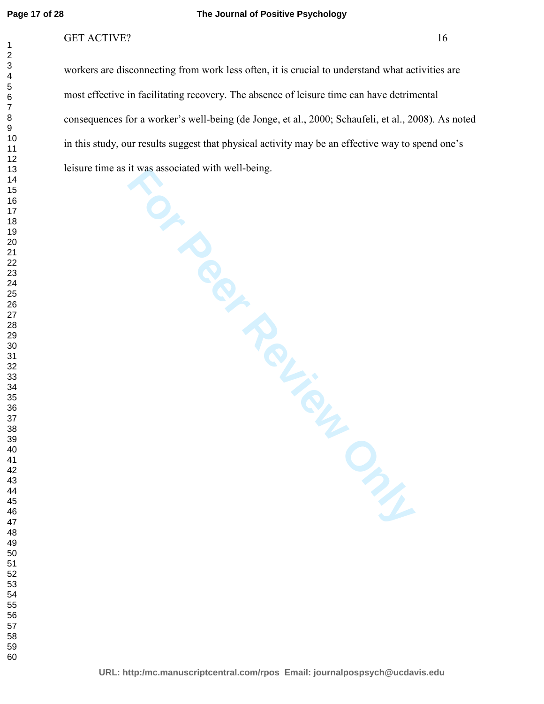#### **The Journal of Positive Psychology**

## GET ACTIVE? 16

workers are disconnecting from work less often, it is crucial to understand what activities are most effective in facilitating recovery. The absence of leisure time can have detrimental consequences for a worker's well-being (de Jonge, et al., 2000; Schaufeli, et al., 2008). As noted in this study, our results suggest that physical activity may be an effective way to spend one's leisure time as it was associated with well-being.

**For Peer Review Only**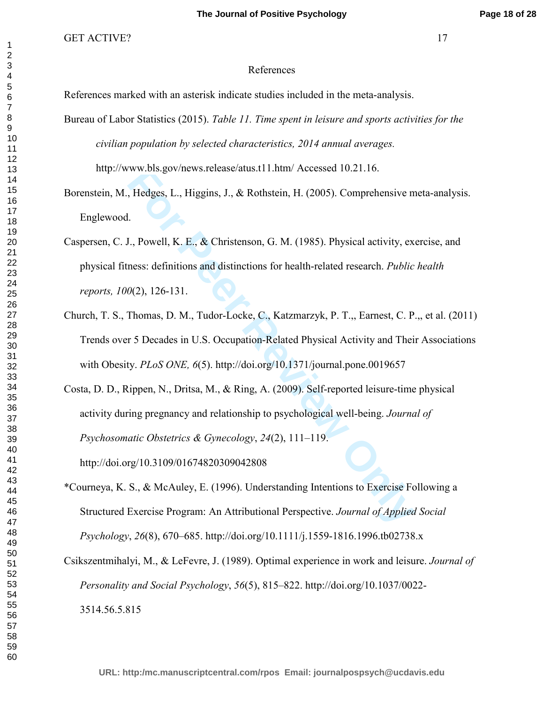#### References

References marked with an asterisk indicate studies included in the meta-analysis.

Bureau of Labor Statistics (2015). *Table 11. Time spent in leisure and sports activities for the civilian population by selected characteristics, 2014 annual averages.* 

http://www.bls.gov/news.release/atus.t11.htm/ Accessed 10.21.16.

Borenstein, M., Hedges, L., Higgins, J., & Rothstein, H. (2005). Comprehensive meta-analysis. Englewood.

- Caspersen, C. J., Powell, K. E., & Christenson, G. M. (1985). Physical activity, exercise, and physical fitness: definitions and distinctions for health-related research. *Public health reports, 100*(2), 126-131.
- Church, T. S., Thomas, D. M., Tudor-Locke, C., Katzmarzyk, P. T.,, Earnest, C. P.,, et al. (2011) Trends over 5 Decades in U.S. Occupation-Related Physical Activity and Their Associations with Obesity. *PLoS ONE, 6*(5). http://doi.org/10.1371/journal.pone.0019657
- WW.01s.gov/news.release/atus.f11.htm/ Accessed 10.21.16.<br> **For Peer Review Conducts**, H., **Review Confidence II**.<br> **For Peer Review Only Accessible 2013**. Comprehensive m<br> **For Peer Review Only Access Constrainers:** defini Costa, D. D., Rippen, N., Dritsa, M., & Ring, A. (2009). Self-reported leisure-time physical activity during pregnancy and relationship to psychological well-being. *Journal of Psychosomatic Obstetrics & Gynecology*, *24*(2), 111–119.

http://doi.org/10.3109/01674820309042808

\*Courneya, K. S., & McAuley, E. (1996). Understanding Intentions to Exercise Following a Structured Exercise Program: An Attributional Perspective. *Journal of Applied Social Psychology*, *26*(8), 670–685. http://doi.org/10.1111/j.1559-1816.1996.tb02738.x

Csikszentmihalyi, M., & LeFevre, J. (1989). Optimal experience in work and leisure. *Journal of Personality and Social Psychology*, *56*(5), 815–822. http://doi.org/10.1037/0022- 3514.56.5.815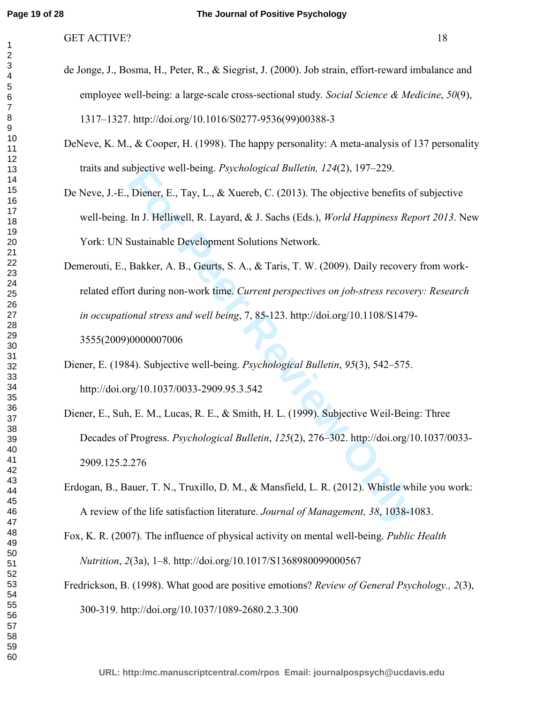- de Jonge, J., Bosma, H., Peter, R., & Siegrist, J. (2000). Job strain, effort-reward imbalance and employee well-being: a large-scale cross-sectional study. *Social Science & Medicine*, *50*(9), 1317–1327. http://doi.org/10.1016/S0277-9536(99)00388-3
- DeNeve, K. M., & Cooper, H. (1998). The happy personality: A meta-analysis of 137 personality traits and subjective well-being. *Psychological Bulletin, 124*(2), 197–229.
- De Neve, J.-E., Diener, E., Tay, L., & Xuereb, C. (2013). The objective benefits of subjective well-being. In J. Helliwell, R. Layard, & J. Sachs (Eds.), *World Happiness Report 2013*. New York: UN Sustainable Development Solutions Network.
- Injective well-being. *Fsychological Bulletin*, 124(2), 191–229.<br>
Diener, E., Tay, L., & Xuereb, C. (2013). The objective benefits of<br>
In J. Helliwell, R. Layard, & J. Sachs (Eds.), *World Happiness Rep*<br>
Sustainable Devel Demerouti, E., Bakker, A. B., Geurts, S. A., & Taris, T. W. (2009). Daily recovery from workrelated effort during non-work time. *Current perspectives on job-stress recovery: Research in occupational stress and well being*, 7, 85-123. http://doi.org/10.1108/S1479- 3555(2009)0000007006
- Diener, E. (1984). Subjective well-being. *Psychological Bulletin*, *95*(3), 542–575. http://doi.org/10.1037/0033-2909.95.3.542
- Diener, E., Suh, E. M., Lucas, R. E., & Smith, H. L. (1999). Subjective Weil-Being: Three Decades of Progress. *Psychological Bulletin*, *125*(2), 276–302. http://doi.org/10.1037/0033- 2909.125.2.276
- Erdogan, B., Bauer, T. N., Truxillo, D. M., & Mansfield, L. R. (2012). Whistle while you work: A review of the life satisfaction literature. *Journal of Management, 38*, 1038-1083.
- Fox, K. R. (2007). The influence of physical activity on mental well-being. *Public Health Nutrition*, *2*(3a), 1–8. http://doi.org/10.1017/S1368980099000567
- Fredrickson, B. (1998). What good are positive emotions? *Review of General Psychology., 2*(3), 300-319. http://doi.org/10.1037/1089-2680.2.3.300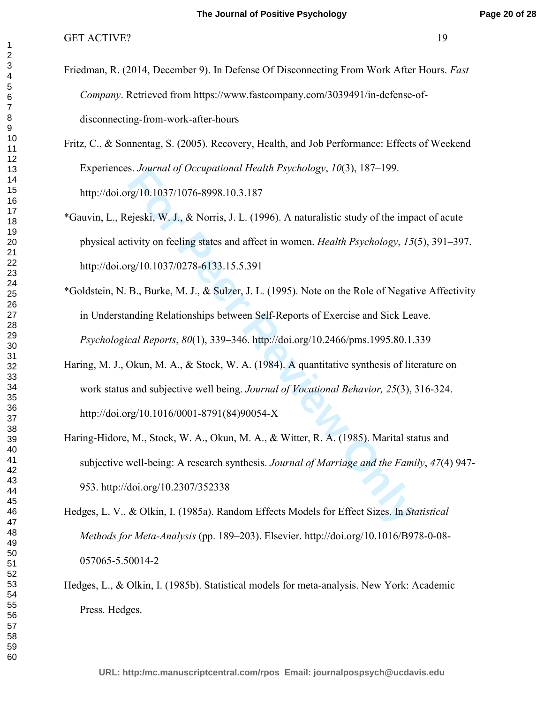- Friedman, R. (2014, December 9). In Defense Of Disconnecting From Work After Hours. *Fast Company*. Retrieved from https://www.fastcompany.com/3039491/in-defense-ofdisconnecting-from-work-after-hours
- Fritz, C., & Sonnentag, S. (2005). Recovery, Health, and Job Performance: Effects of Weekend Experiences. *Journal of Occupational Health Psychology*, *10*(3), 187–199. http://doi.org/10.1037/1076-8998.10.3.187
- \*Gauvin, L., Rejeski, W. J., & Norris, J. L. (1996). A naturalistic study of the impact of acute physical activity on feeling states and affect in women. *Health Psychology*, *15*(5), 391–397. http://doi.org/10.1037/0278-6133.15.5.391
- \*Goldstein, N. B., Burke, M. J., & Sulzer, J. L. (1995). Note on the Role of Negative Affectivity in Understanding Relationships between Self-Reports of Exercise and Sick Leave. *Psychological Reports*, *80*(1), 339–346. http://doi.org/10.2466/pms.1995.80.1.339
- **Example 10** Occupational Heath Expendiogy, 10(3), 187–199.<br> **For Peer Review Onlying 10** Occupational Heath Psychology, 10(3), 187–199.<br>
Figs. W. J., & Norris, J. L. (1996). A naturalistic study of the impidivity on feeli Haring, M. J., Okun, M. A., & Stock, W. A. (1984). A quantitative synthesis of literature on work status and subjective well being. *Journal of Vocational Behavior, 25*(3), 316-324. http://doi.org/10.1016/0001-8791(84)90054-X
- Haring-Hidore, M., Stock, W. A., Okun, M. A., & Witter, R. A. (1985). Marital status and subjective well-being: A research synthesis. *Journal of Marriage and the Family*, *47*(4) 947- 953. http://doi.org/10.2307/352338
- Hedges, L. V., & Olkin, I. (1985a). Random Effects Models for Effect Sizes. In *Statistical Methods for Meta-Analysis* (pp. 189–203). Elsevier. http://doi.org/10.1016/B978-0-08- 057065-5.50014-2
- Hedges, L., & Olkin, I. (1985b). Statistical models for meta-analysis. New York: Academic Press. Hedges.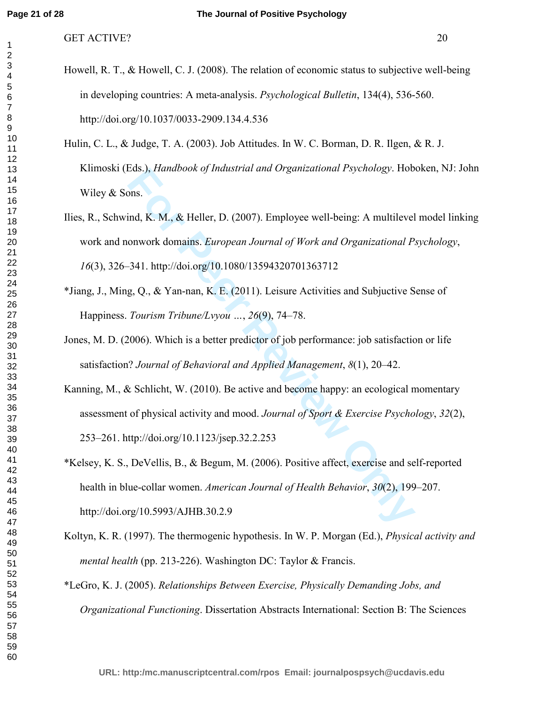- Howell, R. T., & Howell, C. J. (2008). The relation of economic status to subjective well-being in developing countries: A meta-analysis. *Psychological Bulletin*, 134(4), 536-560. http://doi.org/10.1037/0033-2909.134.4.536
- Hulin, C. L., & Judge, T. A. (2003). Job Attitudes. In W. C. Borman, D. R. Ilgen, & R. J. Klimoski (Eds.), *Handbook of Industrial and Organizational Psychology*. Hoboken, NJ: John Wiley & Sons.
- Eqs.), Franabook of maistrial and Organizational Esychology. Hob<br>
Ind, K. M., & Heller, D. (2007). Employee well-being: A multilevel<br>
onwork domains. *European Journal of Work and Organizational P.*<br>
341. http://doi.org/10 Ilies, R., Schwind, K. M., & Heller, D. (2007). Employee well-being: A multilevel model linking work and nonwork domains. *European Journal of Work and Organizational Psychology*, (3), 326–341. http://doi.org/10.1080/13594320701363712
- \*Jiang, J., Ming, Q., & Yan-nan, K. E. (2011). Leisure Activities and Subjuctive Sense of Happiness. *Tourism Tribune/Lvyou …*, *26*(9), 74–78.
- Jones, M. D. (2006). Which is a better predictor of job performance: job satisfaction or life satisfaction? *Journal of Behavioral and Applied Management*, *8*(1), 20–42.
- Kanning, M., & Schlicht, W. (2010). Be active and become happy: an ecological momentary assessment of physical activity and mood. *Journal of Sport & Exercise Psychology*, *32*(2), 253–261. http://doi.org/10.1123/jsep.32.2.253
- \*Kelsey, K. S., DeVellis, B., & Begum, M. (2006). Positive affect, exercise and self-reported health in blue-collar women. *American Journal of Health Behavior*, *30*(2), 199–207. http://doi.org/10.5993/AJHB.30.2.9
- Koltyn, K. R. (1997). The thermogenic hypothesis. In W. P. Morgan (Ed.), *Physical activity and mental health* (pp. 213-226). Washington DC: Taylor & Francis.
- \*LeGro, K. J. (2005). *Relationships Between Exercise, Physically Demanding Jobs, and Organizational Functioning*. Dissertation Abstracts International: Section B: The Sciences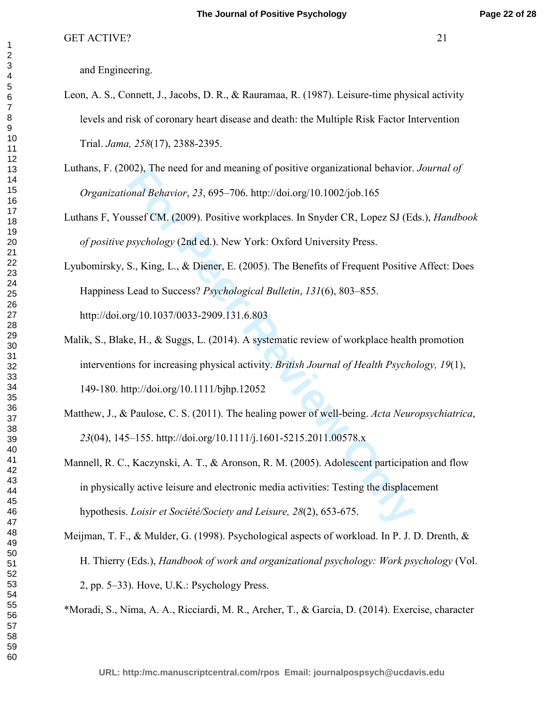and Engineering.

- Leon, A. S., Connett, J., Jacobs, D. R., & Rauramaa, R. (1987). Leisure-time physical activity levels and risk of coronary heart disease and death: the Multiple Risk Factor Intervention Trial. *Jama, 258*(17), 2388-2395.
- Luthans, F. (2002), The need for and meaning of positive organizational behavior. *Journal of Organizational Behavior*, *23*, 695–706. http://doi.org/10.1002/job.165
- Luthans F, Youssef CM. (2009). Positive workplaces. In Snyder CR, Lopez SJ (Eds.), *Handbook of positive psychology* (2nd ed.). New York: Oxford University Press.
- Lyubomirsky, S., King, L., & Diener, E. (2005). The Benefits of Frequent Positive Affect: Does Happiness Lead to Success? *Psychological Bulletin*, *131*(6), 803–855. http://doi.org/10.1037/0033-2909.131.6.803
- Malik, S., Blake, H., & Suggs, L. (2014). A systematic review of workplace health promotion interventions for increasing physical activity. *British Journal of Health Psychology, 19*(1), 149-180. http://doi.org/10.1111/bjhp.12052
- Matthew, J., & Paulose, C. S. (2011). The healing power of well-being. *Acta Neuropsychiatrica*, (04), 145–155. http://doi.org/10.1111/j.1601-5215.2011.00578.x
- 02), the heed for and meaning of positive organizational behavior.<br>
For Peer CM. (2009). Positive workplaces. In Snyder CR, Lopez SJ (Ec<br>
for Peer CM. (2009). Positive workplaces. In Snyder CR, Lopez SJ (Ec<br>
for Peer CM. ( Mannell, R. C., Kaczynski, A. T., & Aronson, R. M. (2005). Adolescent participation and flow in physically active leisure and electronic media activities: Testing the displacement hypothesis. *Loisir et Société/Society and Leisure, 28*(2), 653-675.
- Meijman, T. F., & Mulder, G. (1998). Psychological aspects of workload. In P. J. D. Drenth, & H. Thierry (Eds.), *Handbook of work and organizational psychology: Work psychology* (Vol. 2, pp. 5–33). Hove, U.K.: Psychology Press.

\*Moradi, S., Nima, A. A., Ricciardi, M. R., Archer, T., & Garcia, D. (2014). Exercise, character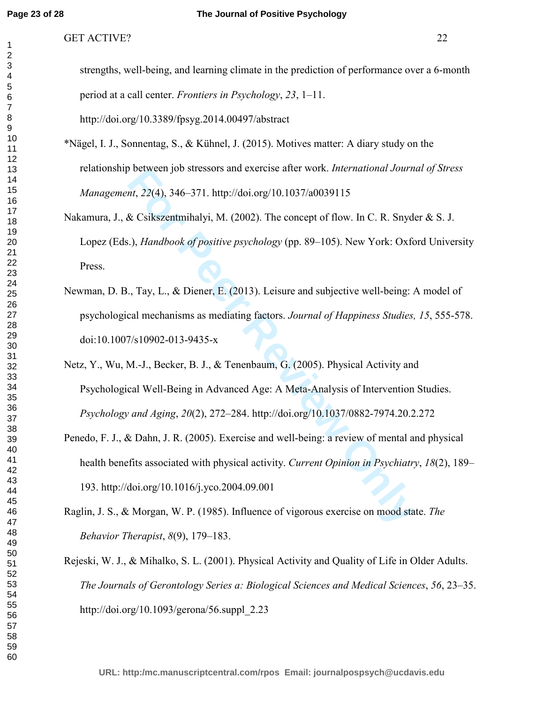| strengths, well-being, and learning climate in the prediction of performance over a 6-month |
|---------------------------------------------------------------------------------------------|
| period at a call center. <i>Frontiers in Psychology</i> , 23, 1–11.                         |
| http://doi.org/10.3389/fpsyg.2014.00497/abstract                                            |

- \*Nägel, I. J., Sonnentag, S., & Kühnel, J. (2015). Motives matter: A diary study on the relationship between job stressors and exercise after work. *International Journal of Stress Management*, *22*(4), 346–371. http://doi.org/10.1037/a0039115
- Nakamura, J., & Csikszentmihalyi, M. (2002). The concept of flow. In C. R. Snyder & S. J. Lopez (Eds.), *Handbook of positive psychology* (pp. 89–105). New York: Oxford University Press.
- nt, 22(4), 346–371. http://doi.org/10.1037/a0039115<br> *R*. Csikszentmihalyi, M. (2002). The concept of flow. In C. R. Snyde<br> *R. Csikszentmihalyi, M. (2002).* The concept of flow. In C. R. Snyde<br> *i.), Handbook of positive* Newman, D. B., Tay, L., & Diener, E. (2013). Leisure and subjective well-being: A model of psychological mechanisms as mediating factors. *Journal of Happiness Studies, 15*, 555-578. doi:10.1007/s10902-013-9435-x
- Netz, Y., Wu, M.-J., Becker, B. J., & Tenenbaum, G. (2005). Physical Activity and Psychological Well-Being in Advanced Age: A Meta-Analysis of Intervention Studies. *Psychology and Aging*, *20*(2), 272–284. http://doi.org/10.1037/0882-7974.20.2.272
- Penedo, F. J., & Dahn, J. R. (2005). Exercise and well-being: a review of mental and physical health benefits associated with physical activity. *Current Opinion in Psychiatry*, *18*(2), 189– 193. http://doi.org/10.1016/j.yco.2004.09.001
- Raglin, J. S., & Morgan, W. P. (1985). Influence of vigorous exercise on mood state. *The Behavior Therapist*, *8*(9), 179–183.
- Rejeski, W. J., & Mihalko, S. L. (2001). Physical Activity and Quality of Life in Older Adults. *The Journals of Gerontology Series a: Biological Sciences and Medical Sciences*, *56*, 23–35. http://doi.org/10.1093/gerona/56.suppl\_2.23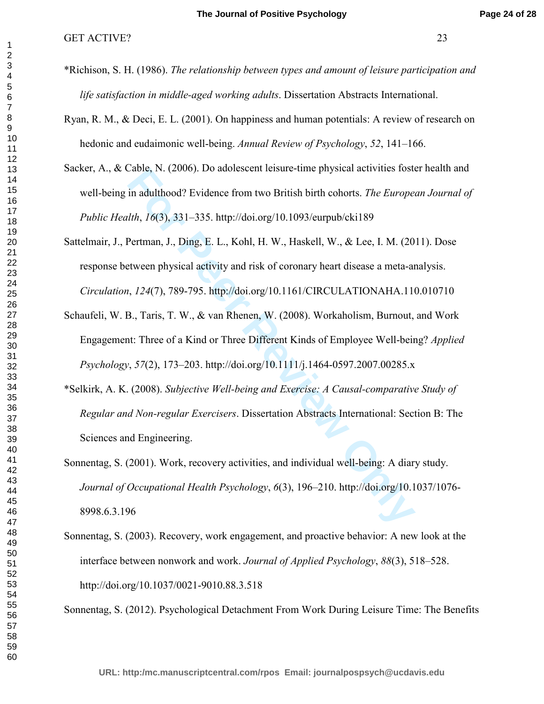- \*Richison, S. H. (1986). *The relationship between types and amount of leisure participation and life satisfaction in middle-aged working adults*. Dissertation Abstracts International.
- Ryan, R. M., & Deci, E. L. (2001). On happiness and human potentials: A review of research on hedonic and eudaimonic well-being. *Annual Review of Psychology*, *52*, 141–166.
- Sacker, A., & Cable, N. (2006). Do adolescent leisure-time physical activities foster health and well-being in adulthood? Evidence from two British birth cohorts. *The European Journal of Public Health*, *16*(3), 331–335. http://doi.org/10.1093/eurpub/cki189
- Lable, N. (2006). Do adotescent leisure-time physical activities foster<br>in adulthood? Evidence from two British birth cohorts. *The Europedth, 16*(3), 331–335. http://doi.org/10.1093/eurpub/cki189<br>Pertman, J., Ding, E. L., Sattelmair, J., Pertman, J., Ding, E. L., Kohl, H. W., Haskell, W., & Lee, I. M. (2011). Dose response between physical activity and risk of coronary heart disease a meta-analysis. *Circulation*, *124*(7), 789-795. http://doi.org/10.1161/CIRCULATIONAHA.110.010710
- Schaufeli, W. B., Taris, T. W., & van Rhenen, W. (2008). Workaholism, Burnout, and Work Engagement: Three of a Kind or Three Different Kinds of Employee Well-being? *Applied Psychology*, *57*(2), 173–203. http://doi.org/10.1111/j.1464-0597.2007.00285.x
- \*Selkirk, A. K. (2008). *Subjective Well-being and Exercise: A Causal-comparative Study of Regular and Non-regular Exercisers*. Dissertation Abstracts International: Section B: The Sciences and Engineering.
- Sonnentag, S. (2001). Work, recovery activities, and individual well-being: A diary study. *Journal of Occupational Health Psychology*, *6*(3), 196–210. http://doi.org/10.1037/1076- 8998.6.3.196
- Sonnentag, S. (2003). Recovery, work engagement, and proactive behavior: A new look at the interface between nonwork and work. *Journal of Applied Psychology*, *88*(3), 518–528. http://doi.org/10.1037/0021-9010.88.3.518

Sonnentag, S. (2012). Psychological Detachment From Work During Leisure Time: The Benefits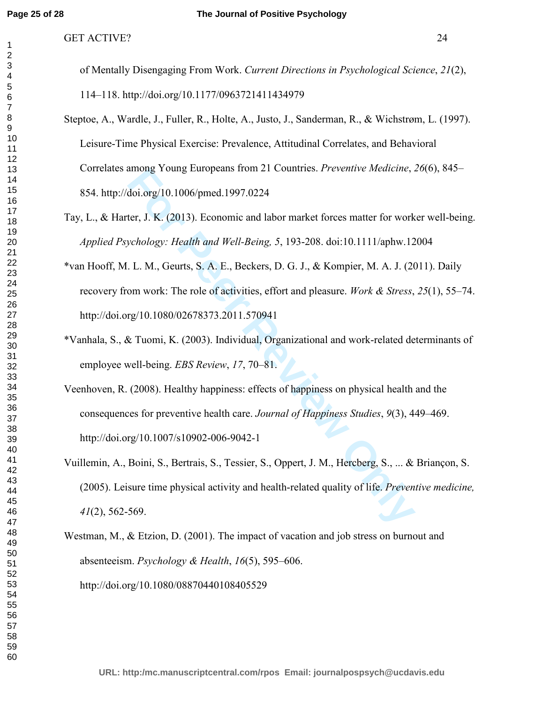#### GET ACTIVE? 24

of Mentally Disengaging From Work. *Current Directions in Psychological Science*, *21*(2), 114–118. http://doi.org/10.1177/0963721411434979

- Steptoe, A., Wardle, J., Fuller, R., Holte, A., Justo, J., Sanderman, R., & Wichstrøm, L. (1997). Leisure-Time Physical Exercise: Prevalence, Attitudinal Correlates, and Behavioral Correlates among Young Europeans from 21 Countries. *Preventive Medicine*, *26*(6), 845– 854. http://doi.org/10.1006/pmed.1997.0224
- Tay, L., & Harter, J. K. (2013). Economic and labor market forces matter for worker well-being. *Applied Psychology: Health and Well-Being, 5*, 193-208. doi:10.1111/aphw.12004
- among Young Europeans from 21 Countries. Preventive Meatchne, Adoi.org/10.1006/pmed.1997.0224<br>ter, J. K. (2013). Economic and labor market forces matter for work<br>vehology: Health and Well-Being, 5, 193-208. doi:10.1111/aph \*van Hooff, M. L. M., Geurts, S. A. E., Beckers, D. G. J., & Kompier, M. A. J. (2011). Daily recovery from work: The role of activities, effort and pleasure. *Work & Stress*, *25*(1), 55–74. http://doi.org/10.1080/02678373.2011.570941
- \*Vanhala, S., & Tuomi, K. (2003). Individual, Organizational and work-related determinants of employee well-being. *EBS Review*, *17*, 70–81.
- Veenhoven, R. (2008). Healthy happiness: effects of happiness on physical health and the consequences for preventive health care. *Journal of Happiness Studies*, *9*(3), 449–469. http://doi.org/10.1007/s10902-006-9042-1
- Vuillemin, A., Boini, S., Bertrais, S., Tessier, S., Oppert, J. M., Hercberg, S., ... & Briançon, S. (2005). Leisure time physical activity and health-related quality of life. *Preventive medicine,*  (2), 562-569.

Westman, M., & Etzion, D. (2001). The impact of vacation and job stress on burnout and absenteeism. *Psychology & Health*, *16*(5), 595–606. http://doi.org/10.1080/08870440108405529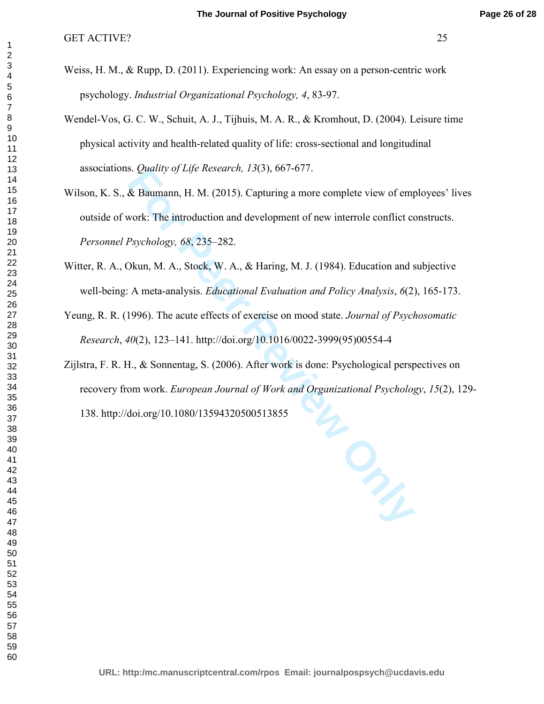- Weiss, H. M., & Rupp, D. (2011). Experiencing work: An essay on a person-centric work psychology. *Industrial Organizational Psychology, 4*, 83-97.
- Wendel-Vos, G. C. W., Schuit, A. J., Tijhuis, M. A. R., & Kromhout, D. (2004). Leisure time physical activity and health-related quality of life: cross-sectional and longitudinal associations. *Quality of Life Research, 13*(3), 667-677.
- **Example 10** For Properties Containers and Markov of energy of Life Research, 13(3), 00/-071.<br> **Example 8** Baumann, H. M. (2015). Capturing a more complete view of emptychic The introduction and development of new interrol Wilson, K. S., & Baumann, H. M. (2015). Capturing a more complete view of employees' lives outside of work: The introduction and development of new interrole conflict constructs. *Personnel Psychology, 68*, 235–282.
- Witter, R. A., Okun, M. A., Stock, W. A., & Haring, M. J. (1984). Education and subjective well-being: A meta-analysis. *Educational Evaluation and Policy Analysis*, *6*(2), 165-173.
- Yeung, R. R. (1996). The acute effects of exercise on mood state. *Journal of Psychosomatic Research*, *40*(2), 123–141. http://doi.org/10.1016/0022-3999(95)00554-4
- Zijlstra, F. R. H., & Sonnentag, S. (2006). After work is done: Psychological perspectives on recovery from work. *European Journal of Work and Organizational Psychology*, *15*(2), 129-

138. http://doi.org/10.1080/13594320500513855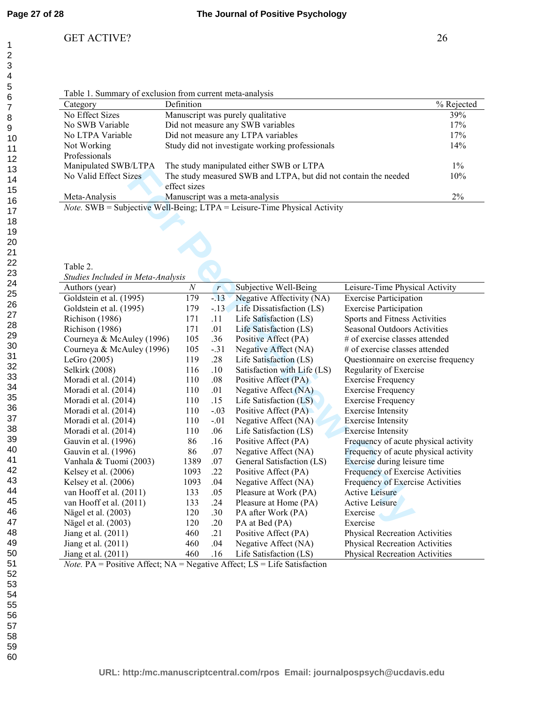#### GET ACTIVE? 26

| Category              | Definition                                                      | % Rejected |
|-----------------------|-----------------------------------------------------------------|------------|
| No Effect Sizes       | Manuscript was purely qualitative                               | 39%        |
| No SWB Variable       | Did not measure any SWB variables                               | 17%        |
| No LTPA Variable      | Did not measure any LTPA variables                              | 17%        |
| Not Working           | Study did not investigate working professionals                 | 14%        |
| Professionals         |                                                                 |            |
| Manipulated SWB/LTPA  | The study manipulated either SWB or LTPA                        | $1\%$      |
| No Valid Effect Sizes | The study measured SWB and LTPA, but did not contain the needed | 10%        |
|                       | effect sizes                                                    |            |
| Meta-Analysis         | Manuscript was a meta-analysis                                  | $2\%$      |

Table 2.

*Studies Included in Meta-Analysis*

| $m$ $m$ $m$ $m$ $m$ $m$ $m$ $m$ $m$<br>The stage mampulated chilet b w D of ETTIN<br>No Valid Effect Sizes<br>The study measured SWB and LTPA, but did not contain the needed<br>effect sizes |                  |              |                             |                                       |  |  |
|-----------------------------------------------------------------------------------------------------------------------------------------------------------------------------------------------|------------------|--------------|-----------------------------|---------------------------------------|--|--|
| Meta-Analysis<br>Manuscript was a meta-analysis                                                                                                                                               |                  |              |                             |                                       |  |  |
| Note. SWB = Subjective Well-Being; LTPA = Leisure-Time Physical Activity                                                                                                                      |                  |              |                             | 2%                                    |  |  |
|                                                                                                                                                                                               |                  |              |                             |                                       |  |  |
|                                                                                                                                                                                               |                  |              |                             |                                       |  |  |
|                                                                                                                                                                                               |                  |              |                             |                                       |  |  |
|                                                                                                                                                                                               |                  |              |                             |                                       |  |  |
|                                                                                                                                                                                               |                  |              |                             |                                       |  |  |
| Table 2.                                                                                                                                                                                      |                  |              |                             |                                       |  |  |
| Studies Included in Meta-Analysis                                                                                                                                                             |                  |              |                             |                                       |  |  |
| Authors (year)                                                                                                                                                                                | $\boldsymbol{N}$ | $\mathbf{r}$ | Subjective Well-Being       | Leisure-Time Physical Activity        |  |  |
| Goldstein et al. $(\overline{1995)}$                                                                                                                                                          | 179              | $-13$        | Negative Affectivity (NA)   | <b>Exercise Participation</b>         |  |  |
| Goldstein et al. (1995)                                                                                                                                                                       | 179              | $-.13$       | Life Dissatisfaction (LS)   | <b>Exercise Participation</b>         |  |  |
| Richison (1986)                                                                                                                                                                               | 171              | .11          | Life Satisfaction (LS)      | Sports and Fitness Activities         |  |  |
| Richison (1986)                                                                                                                                                                               | 171              | .01          | Life Satisfaction (LS)      | <b>Seasonal Outdoors Activities</b>   |  |  |
| Courneya & McAuley (1996)                                                                                                                                                                     | 105              | .36          | Positive Affect (PA)        | # of exercise classes attended        |  |  |
| Courneya & McAuley (1996)                                                                                                                                                                     | 105              | $-.31$       | Negative Affect (NA)        | # of exercise classes attended        |  |  |
| LeGro $(2005)$                                                                                                                                                                                | 119              | .28          | Life Satisfaction (LS)      | Questionnaire on exercise frequency   |  |  |
| Selkirk (2008)                                                                                                                                                                                | 116              | .10          | Satisfaction with Life (LS) | Regularity of Exercise                |  |  |
| Moradi et al. (2014)                                                                                                                                                                          | 110              | .08          | Positive Affect (PA)        | <b>Exercise Frequency</b>             |  |  |
| Moradi et al. (2014)                                                                                                                                                                          | 110              | .01          | Negative Affect (NA)        | <b>Exercise Frequency</b>             |  |  |
| Moradi et al. (2014)                                                                                                                                                                          | 110              | .15          | Life Satisfaction (LS)      | <b>Exercise Frequency</b>             |  |  |
| Moradi et al. (2014)                                                                                                                                                                          | 110              | $-.03$       | Positive Affect (PA)        | <b>Exercise Intensity</b>             |  |  |
| Moradi et al. (2014)                                                                                                                                                                          | 110              | $-.01$       | Negative Affect (NA)        | <b>Exercise Intensity</b>             |  |  |
| Moradi et al. (2014)                                                                                                                                                                          | 110              | .06          | Life Satisfaction (LS)      | <b>Exercise Intensity</b>             |  |  |
| Gauvin et al. (1996)                                                                                                                                                                          | 86               | .16          | Positive Affect (PA)        | Frequency of acute physical activity  |  |  |
| Gauvin et al. (1996)                                                                                                                                                                          | 86               | .07          | Negative Affect (NA)        | Frequency of acute physical activity  |  |  |
| Vanhala & Tuomi (2003)                                                                                                                                                                        | 1389             | .07          | General Satisfaction (LS)   | Exercise during leisure time          |  |  |
| Kelsey et al. (2006)                                                                                                                                                                          | 1093             | .22          | Positive Affect (PA)        | Frequency of Exercise Activities      |  |  |
| Kelsey et al. (2006)                                                                                                                                                                          | 1093             | .04          | Negative Affect (NA)        | Frequency of Exercise Activities      |  |  |
| van Hooff et al. (2011)                                                                                                                                                                       | 133              | .05          | Pleasure at Work (PA)       | <b>Active Leisure</b>                 |  |  |
| van Hooff et al. (2011)                                                                                                                                                                       | 133              | .24          | Pleasure at Home (PA)       | <b>Active Leisure</b>                 |  |  |
| Nägel et al. (2003)                                                                                                                                                                           | 120              | .30          | PA after Work (PA)          | Exercise                              |  |  |
| Nägel et al. (2003)                                                                                                                                                                           | 120              | .20          | PA at Bed (PA)              | Exercise                              |  |  |
| Jiang et al. (2011)                                                                                                                                                                           | 460              | .21          | Positive Affect (PA)        | <b>Physical Recreation Activities</b> |  |  |
| Jiang et al. (2011)                                                                                                                                                                           | 460              | .04          | Negative Affect (NA)        | <b>Physical Recreation Activities</b> |  |  |
| Jiang et al. (2011)                                                                                                                                                                           | 460              | .16          | Life Satisfaction (LS)      | <b>Physical Recreation Activities</b> |  |  |

*Note.* PA = Positive Affect; NA = Negative Affect; LS = Life Satisfaction